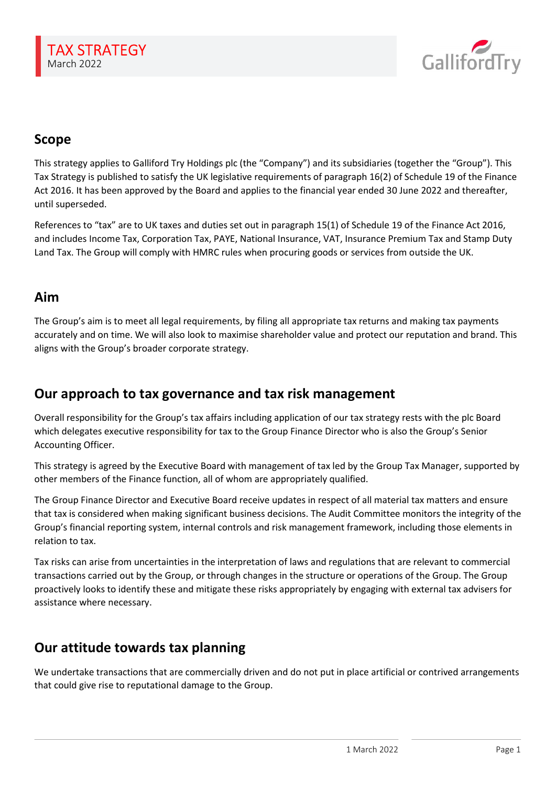

# Scope

This strategy applies to Galliford Try Holdings plc (the "Company") and its subsidiaries (together the "Group"). This Tax Strategy is published to satisfy the UK legislative requirements of paragraph 16(2) of Schedule 19 of the Finance Act 2016. It has been approved by the Board and applies to the financial year ended 30 June 2022 and thereafter, until superseded.

References to "tax" are to UK taxes and duties set out in paragraph 15(1) of Schedule 19 of the Finance Act 2016, and includes Income Tax, Corporation Tax, PAYE, National Insurance, VAT, Insurance Premium Tax and Stamp Duty Land Tax. The Group will comply with HMRC rules when procuring goods or services from outside the UK.

## Aim

The Group's aim is to meet all legal requirements, by filing all appropriate tax returns and making tax payments accurately and on time. We will also look to maximise shareholder value and protect our reputation and brand. This aligns with the Group's broader corporate strategy.

## Our approach to tax governance and tax risk management

Overall responsibility for the Group's tax affairs including application of our tax strategy rests with the plc Board which delegates executive responsibility for tax to the Group Finance Director who is also the Group's Senior Accounting Officer.

This strategy is agreed by the Executive Board with management of tax led by the Group Tax Manager, supported by other members of the Finance function, all of whom are appropriately qualified.

The Group Finance Director and Executive Board receive updates in respect of all material tax matters and ensure that tax is considered when making significant business decisions. The Audit Committee monitors the integrity of the Group's financial reporting system, internal controls and risk management framework, including those elements in relation to tax.

Tax risks can arise from uncertainties in the interpretation of laws and regulations that are relevant to commercial transactions carried out by the Group, or through changes in the structure or operations of the Group. The Group proactively looks to identify these and mitigate these risks appropriately by engaging with external tax advisers for assistance where necessary.

## Our attitude towards tax planning

We undertake transactions that are commercially driven and do not put in place artificial or contrived arrangements that could give rise to reputational damage to the Group.